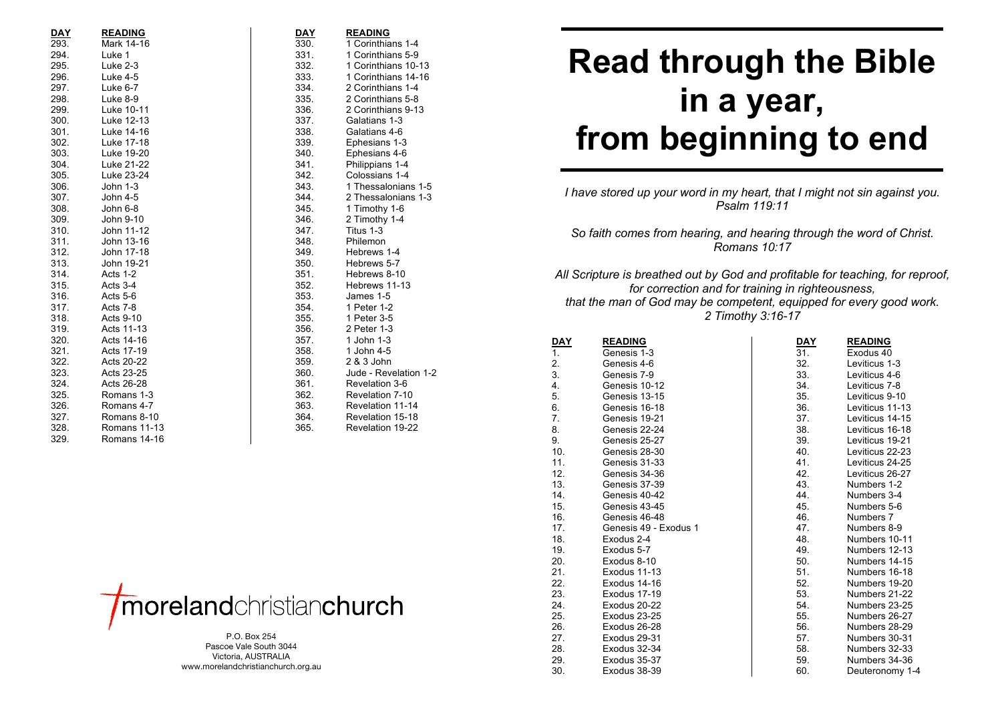| <b>DAY</b> | <b>READING</b>      | DAY  | <b>READING</b>        |
|------------|---------------------|------|-----------------------|
| 293.       | Mark 14-16          | 330. | 1 Corinthians 1-4     |
| 294.       | Luke 1              | 331. | 1 Corinthians 5-9     |
| 295.       | Luke 2-3            | 332. | 1 Corinthians 10-13   |
| 296.       | <b>Luke 4-5</b>     | 333. | 1 Corinthians 14-16   |
| 297.       | Luke 6-7            | 334. | 2 Corinthians 1-4     |
| 298.       | Luke 8-9            | 335. | 2 Corinthians 5-8     |
| 299.       | Luke 10-11          | 336. | 2 Corinthians 9-13    |
| 300.       | Luke 12-13          | 337. | Galatians 1-3         |
| 301.       | Luke 14-16          | 338. | Galatians 4-6         |
| 302.       | Luke 17-18          | 339. | Ephesians 1-3         |
| 303.       | Luke 19-20          | 340. | Ephesians 4-6         |
| 304.       | Luke 21-22          | 341. | Philippians 1-4       |
| 305.       | Luke 23-24          | 342. | Colossians 1-4        |
| 306.       | John 1-3            | 343. | 1 Thessalonians 1-5   |
| 307.       | John 4-5            | 344. | 2 Thessalonians 1-3   |
| 308.       | John 6-8            | 345. | 1 Timothy 1-6         |
| 309.       | John 9-10           | 346. | 2 Timothy 1-4         |
| 310.       | John 11-12          | 347. | Titus 1-3             |
| 311.       | John 13-16          | 348. | Philemon              |
| 312.       | John 17-18          | 349. | Hebrews 1-4           |
| 313.       | John 19-21          | 350. | Hebrews 5-7           |
| 314.       | Acts 1-2            | 351. | Hebrews 8-10          |
| 315.       | Acts 3-4            | 352. | Hebrews 11-13         |
| 316.       | Acts 5-6            | 353. | James 1-5             |
| 317.       | Acts 7-8            | 354. | 1 Peter 1-2           |
| 318.       | Acts 9-10           | 355. | 1 Peter 3-5           |
| 319.       | Acts 11-13          | 356. | 2 Peter 1-3           |
| 320.       | Acts 14-16          | 357. | 1 John 1-3            |
| 321.       | Acts 17-19          | 358. | 1 John 4-5            |
| 322.       | Acts 20-22          | 359. | 2 & 3 John            |
| 323.       | Acts 23-25          | 360. | Jude - Revelation 1-2 |
| 324.       | Acts 26-28          | 361. | Revelation 3-6        |
| 325.       | Romans 1-3          | 362. | Revelation 7-10       |
| 326.       | Romans 4-7          | 363. | Revelation 11-14      |
| 327.       | Romans 8-10         | 364. | Revelation 15-18      |
| 328.       | <b>Romans 11-13</b> | 365. | Revelation 19-22      |
| 329.       | Romans 14-16        |      |                       |
|            |                     |      |                       |



P.O. Box 254 Pascoe Vale South 3044 Victoria, AUSTRALIA www.morelandchristianchurch.org.au

## **Read through the Bible in a year, from beginning to end**

*I have stored up your word in my heart, that I might not sin against you. Psalm 119:11*

*So faith comes from hearing, and hearing through the word of Christ. Romans 10:17*

*All Scripture is breathed out by God and profitable for teaching, for reproof, for correction and for training in righteousness, that the man of God may be competent, equipped for every good work. 2 Timothy 3:16 -17*

| <b>DAY</b> | <b>READING</b>        | <u>DAY</u> | <b>READING</b>  |
|------------|-----------------------|------------|-----------------|
| 1.         | Genesis 1-3           | 31.        | Exodus 40       |
| 2.         | Genesis 4-6           | 32.        | Leviticus 1-3   |
| 3.         | Genesis 7-9           | 33.        | Leviticus 4-6   |
| 4.         | Genesis 10-12         | 34.        | Leviticus 7-8   |
| 5.         | Genesis 13-15         | 35.        | Leviticus 9-10  |
| 6.         | Genesis 16-18         | 36.        | Leviticus 11-13 |
| 7.         | Genesis 19-21         | 37.        | Leviticus 14-15 |
| 8.         | Genesis 22-24         | 38.        | Leviticus 16-18 |
| 9.         | Genesis 25-27         | 39.        | Leviticus 19-21 |
| 10.        | Genesis 28-30         | 40.        | Leviticus 22-23 |
| 11.        | Genesis 31-33         | 41.        | Leviticus 24-25 |
| 12.        | Genesis 34-36         | 42.        | Leviticus 26-27 |
| 13.        | Genesis 37-39         | 43.        | Numbers 1-2     |
| 14.        | Genesis 40-42         | 44.        | Numbers 3-4     |
| 15.        | Genesis 43-45         | 45.        | Numbers 5-6     |
| 16.        | Genesis 46-48         | 46.        | Numbers 7       |
| 17.        | Genesis 49 - Exodus 1 | 47.        | Numbers 8-9     |
| 18.        | Exodus 2-4            | 48.        | Numbers 10-11   |
| 19.        | Exodus 5-7            | 49.        | Numbers 12-13   |
| 20.        | Exodus 8-10           | 50.        | Numbers 14-15   |
| 21.        | Exodus 11-13          | 51.        | Numbers 16-18   |
| 22.        | Exodus 14-16          | 52.        | Numbers 19-20   |
| 23.        | Exodus 17-19          | 53.        | Numbers 21-22   |
| 24.        | Exodus 20-22          | 54.        | Numbers 23-25   |
| 25.        | Exodus 23-25          | 55.        | Numbers 26-27   |
| 26.        | Exodus 26-28          | 56.        | Numbers 28-29   |
| 27.        | Exodus 29-31          | 57.        | Numbers 30-31   |
| 28.        | Exodus 32-34          | 58.        | Numbers 32-33   |
| 29.        | Exodus 35-37          | 59.        | Numbers 34-36   |
| 30.        | Exodus 38-39          | 60.        | Deuteronomy 1-4 |